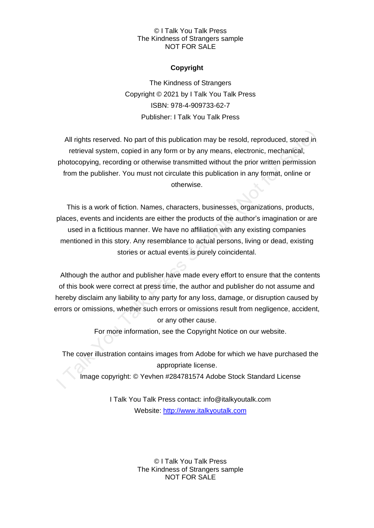## © I Talk You Talk Press The Kindness of Strangers sample NOT FOR SALE

# **Copyright**

The Kindness of Strangers Copyright © 2021 by I Talk You Talk Press ISBN: 978-4-909733-62-7 Publisher: I Talk You Talk Press

All rights reserved. No part of this publication may be resold, reproduced, stored in retrieval system, copied in any form or by any means, electronic, mechanical, photocopying, recording or otherwise transmitted without the prior written permission from the publisher. You must not circulate this publication in any format, online or otherwise.

This is a work of fiction. Names, characters, businesses, organizations, products, places, events and incidents are either the products of the author's imagination or are used in a fictitious manner. We have no affiliation with any existing companies mentioned in this story. Any resemblance to actual persons, living or dead, existing stories or actual events is purely coincidental.

Although the author and publisher have made every effort to ensure that the contents of this book were correct at press time, the author and publisher do not assume and hereby disclaim any liability to any party for any loss, damage, or disruption caused by errors or omissions, whether such errors or omissions result from negligence, accident, or any other cause.

For more information, see the Copyright Notice on our website.

The cover illustration contains images from Adobe for which we have purchased the appropriate license.

Image copyright: © Yevhen #284781574 Adobe Stock Standard License

I Talk You Talk Press contact: info@italkyoutalk.com Website: [http://www.italkyoutalk.com](http://www.italkyoutalk.com/)

> © I Talk You Talk Press The Kindness of Strangers sample NOT FOR SALE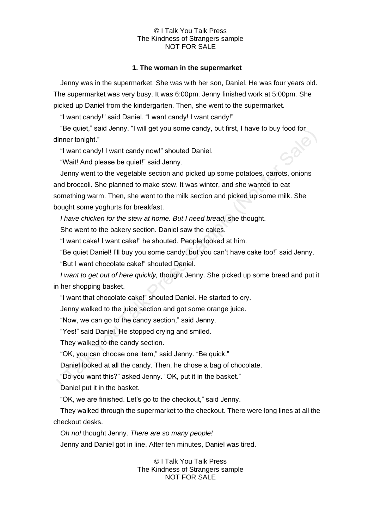#### © I Talk You Talk Press The Kindness of Strangers sample NOT FOR SALE

## **1. The woman in the supermarket**

Jenny was in the supermarket. She was with her son, Daniel. He was four years old. The supermarket was very busy. It was 6:00pm. Jenny finished work at 5:00pm. She picked up Daniel from the kindergarten. Then, she went to the supermarket.

"I want candy!" said Daniel. "I want candy! I want candy!"

"Be quiet," said Jenny. "I will get you some candy, but first, I have to buy food for 3018 dinner tonight."

"I want candy! I want candy now!" shouted Daniel.

"Wait! And please be quiet!" said Jenny.

Jenny went to the vegetable section and picked up some potatoes, carrots, onions and broccoli. She planned to make stew. It was winter, and she wanted to eat something warm. Then, she went to the milk section and picked up some milk. She bought some yoghurts for breakfast.

*I have chicken for the stew at home. But I need bread,* she thought.

She went to the bakery section. Daniel saw the cakes.

"I want cake! I want cake!" he shouted. People looked at him.

"Be quiet Daniel! I'll buy you some candy, but you can't have cake too!" said Jenny.

"But I want chocolate cake!" shouted Daniel.

*I want to get out of here quickly,* thought Jenny. She picked up some bread and put it in her shopping basket.

"I want that chocolate cake!" shouted Daniel. He started to cry.

Jenny walked to the juice section and got some orange juice.

"Now, we can go to the candy section," said Jenny.

"Yes!" said Daniel. He stopped crying and smiled.

They walked to the candy section.

"OK, you can choose one item," said Jenny. "Be quick."

Daniel looked at all the candy. Then, he chose a bag of chocolate.

"Do you want this?" asked Jenny. "OK, put it in the basket."

Daniel put it in the basket.

"OK, we are finished. Let's go to the checkout," said Jenny.

They walked through the supermarket to the checkout. There were long lines at all the checkout desks.

*Oh no!* thought Jenny. *There are so many people!* 

Jenny and Daniel got in line. After ten minutes, Daniel was tired.

© I Talk You Talk Press The Kindness of Strangers sample NOT FOR SALE